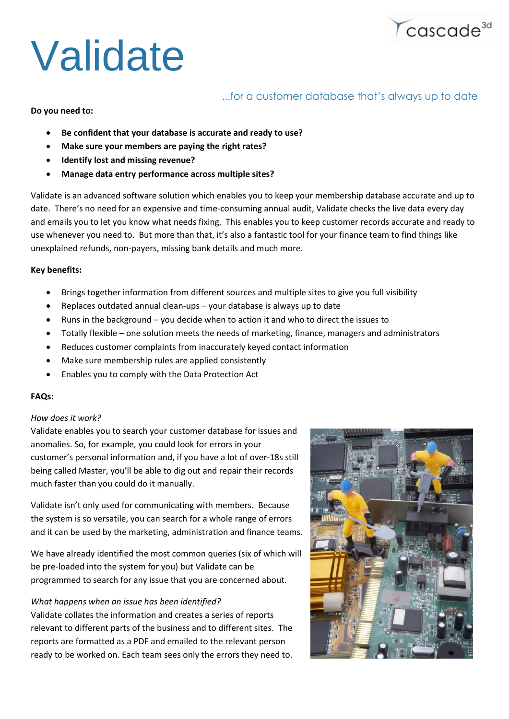# Validate

# ...for a customer database that's always up to date

 $\sqrt{\text{cascade}^{\text{3d}}}$ 

**Do you need to:**

- **Be confident that your database is accurate and ready to use?**
- **Make sure your members are paying the right rates?**
- **Identify lost and missing revenue?**
- **Manage data entry performance across multiple sites?**

Validate is an advanced software solution which enables you to keep your membership database accurate and up to date. There's no need for an expensive and time-consuming annual audit, Validate checks the live data every day and emails you to let you know what needs fixing. This enables you to keep customer records accurate and ready to use whenever you need to. But more than that, it's also a fantastic tool for your finance team to find things like unexplained refunds, non-payers, missing bank details and much more.

#### **Key benefits:**

- Brings together information from different sources and multiple sites to give you full visibility
- Replaces outdated annual clean-ups your database is always up to date
- Runs in the background you decide when to action it and who to direct the issues to
- Totally flexible one solution meets the needs of marketing, finance, managers and administrators
- Reduces customer complaints from inaccurately keyed contact information
- Make sure membership rules are applied consistently
- Enables you to comply with the Data Protection Act

#### **FAQs:**

#### *How does it work?*

Validate enables you to search your customer database for issues and anomalies. So, for example, you could look for errors in your customer's personal information and, if you have a lot of over-18s still being called Master, you'll be able to dig out and repair their records much faster than you could do it manually.

Validate isn't only used for communicating with members. Because the system is so versatile, you can search for a whole range of errors and it can be used by the marketing, administration and finance teams.

We have already identified the most common queries (six of which will be pre-loaded into the system for you) but Validate can be programmed to search for any issue that you are concerned about.

#### *What happens when an issue has been identified?*

Validate collates the information and creates a series of reports relevant to different parts of the business and to different sites. The reports are formatted as a PDF and emailed to the relevant person ready to be worked on. Each team sees only the errors they need to.